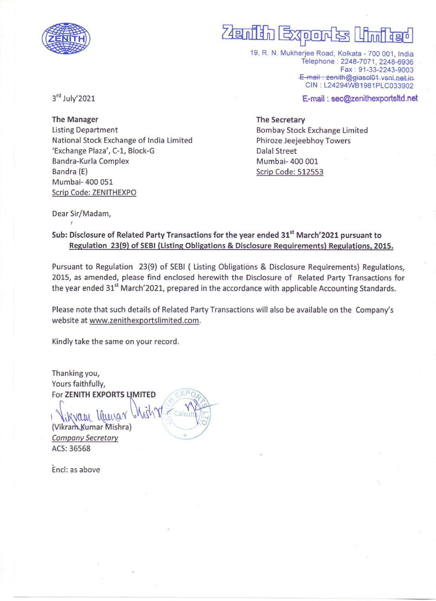

# is I<mark>i</mark> -<br>2<sub>4일</sub>  $\overline{\phantom{a}}$ 5.00

19, R. N. Mukherjee Road, Kolkata - 700 001, India Telephone : 2248-7071, 2248-6936 Fax: 91-33-2243-9003 E-mail: zenith@giascl01.vsnl.net.in CIN: 124294WB1981PLC033902

E-mail : sec@zenithexportsltd.net

3rd July'2021

The Manager Listing Department National Stock Exchange of India Limited "Exchange Plaza', C-1, Block-G Bandra-Kurla Complex Bandra (E) Mumbai- 400 051 Scrip Code: ZENITHEXPO

# The Secretary

Bombay Stock Exchange Limited Phiroze Jeejeebhoy Towers Dalal Street Mumbai- 400 001 Scrip Code: 512553

Dear Sir/Madam,

# Sub: Disclosure of Related Party Transactions for the year ended 31<sup>st</sup> March'2021 pursuant to Regulation 23(9) of SEBI (Listing Obligations & Disclosure Requirements) Regulations, 2015.

Pursuant to Regulation 23(9) of SEBI ( Listing Obligations & Disclosure Requirements) Regulations, 2015, as amended, please find enclosed herewith the Disclosure of Related Party Transactions for the year ended 31<sup>st</sup> March'2021, prepared in the accordance with applicable Accounting Standards.

Please note that such details of Related Party Transactions will also be available on the Company's website at www.zenithexportslimited.com.

Kindly take the same on your record.

Thanking you, Yours faithfully, For ZENITH EXPORTS LIMITED

Kvan Ihme (Vikram Kumar Mishra) Company Secretary ACS: 36568

Encl: as above